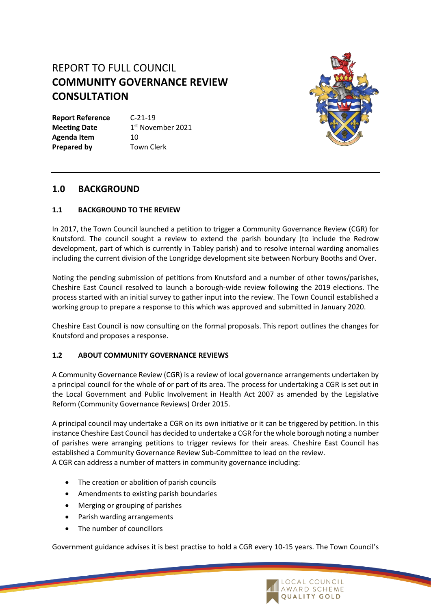# REPORT TO FULL COUNCIL **COMMUNITY GOVERNANCE REVIEW CONSULTATION**

**Report Reference** C-21-19 **Meeting Date** 1<sup>st</sup> November 2021 Agenda Item 10 **Prepared by Town Clerk** 



# **1.0 BACKGROUND**

#### **1.1 BACKGROUND TO THE REVIEW**

In 2017, the Town Council launched a petition to trigger a Community Governance Review (CGR) for Knutsford. The council sought a review to extend the parish boundary (to include the Redrow development, part of which is currently in Tabley parish) and to resolve internal warding anomalies including the current division of the Longridge development site between Norbury Booths and Over.

Noting the pending submission of petitions from Knutsford and a number of other towns/parishes, Cheshire East Council resolved to launch a borough-wide review following the 2019 elections. The process started with an initial survey to gather input into the review. The Town Council established a working group to prepare a response to this which was approved and submitted in January 2020.

Cheshire East Council is now consulting on the formal proposals. This report outlines the changes for Knutsford and proposes a response.

#### **1.2 ABOUT COMMUNITY GOVERNANCE REVIEWS**

A Community Governance Review (CGR) is a review of local governance arrangements undertaken by a principal council for the whole of or part of its area. The process for undertaking a CGR is set out in the Local Government and Public Involvement in Health Act 2007 as amended by the Legislative Reform (Community Governance Reviews) Order 2015.

A principal council may undertake a CGR on its own initiative or it can be triggered by petition. In this instance Cheshire East Council has decided to undertake a CGR for the whole borough noting a number of parishes were arranging petitions to trigger reviews for their areas. Cheshire East Council has established a Community Governance Review Sub-Committee to lead on the review. A CGR can address a number of matters in community governance including:

- The creation or abolition of parish councils
- Amendments to existing parish boundaries
- Merging or grouping of parishes
- Parish warding arrangements
- The number of councillors

Government guidance advises it is best practise to hold a CGR every 10-15 years. The Town Council's

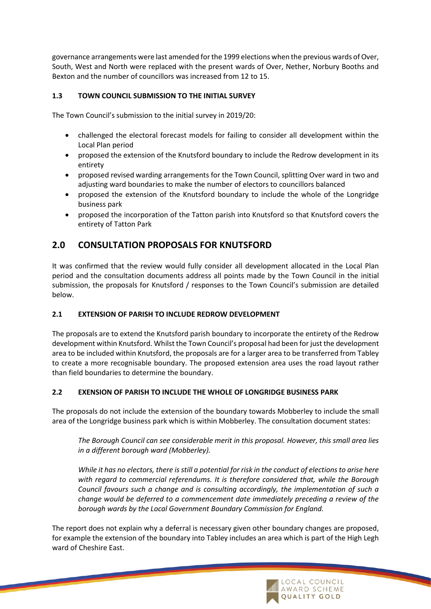governance arrangements were last amended for the 1999 elections when the previous wards of Over, South, West and North were replaced with the present wards of Over, Nether, Norbury Booths and Bexton and the number of councillors was increased from 12 to 15.

## **1.3 TOWN COUNCIL SUBMISSION TO THE INITIAL SURVEY**

The Town Council's submission to the initial survey in 2019/20:

- challenged the electoral forecast models for failing to consider all development within the Local Plan period
- proposed the extension of the Knutsford boundary to include the Redrow development in its entirety
- proposed revised warding arrangements for the Town Council, splitting Over ward in two and adjusting ward boundaries to make the number of electors to councillors balanced
- proposed the extension of the Knutsford boundary to include the whole of the Longridge business park
- proposed the incorporation of the Tatton parish into Knutsford so that Knutsford covers the entirety of Tatton Park

# **2.0 CONSULTATION PROPOSALS FOR KNUTSFORD**

It was confirmed that the review would fully consider all development allocated in the Local Plan period and the consultation documents address all points made by the Town Council in the initial submission, the proposals for Knutsford / responses to the Town Council's submission are detailed below.

#### **2.1 EXTENSION OF PARISH TO INCLUDE REDROW DEVELOPMENT**

The proposals are to extend the Knutsford parish boundary to incorporate the entirety of the Redrow development within Knutsford. Whilst the Town Council's proposal had been for just the development area to be included within Knutsford, the proposals are for a larger area to be transferred from Tabley to create a more recognisable boundary. The proposed extension area uses the road layout rather than field boundaries to determine the boundary.

#### **2.2 EXENSION OF PARISH TO INCLUDE THE WHOLE OF LONGRIDGE BUSINESS PARK**

The proposals do not include the extension of the boundary towards Mobberley to include the small area of the Longridge business park which is within Mobberley. The consultation document states:

*The Borough Council can see considerable merit in this proposal. However, this small area lies in a different borough ward (Mobberley).* 

*While it has no electors, there is still a potential for risk in the conduct of elections to arise here with regard to commercial referendums. It is therefore considered that, while the Borough Council favours such a change and is consulting accordingly, the implementation of such a change would be deferred to a commencement date immediately preceding a review of the borough wards by the Local Government Boundary Commission for England.*

The report does not explain why a deferral is necessary given other boundary changes are proposed, for example the extension of the boundary into Tabley includes an area which is part of the High Legh ward of Cheshire East.